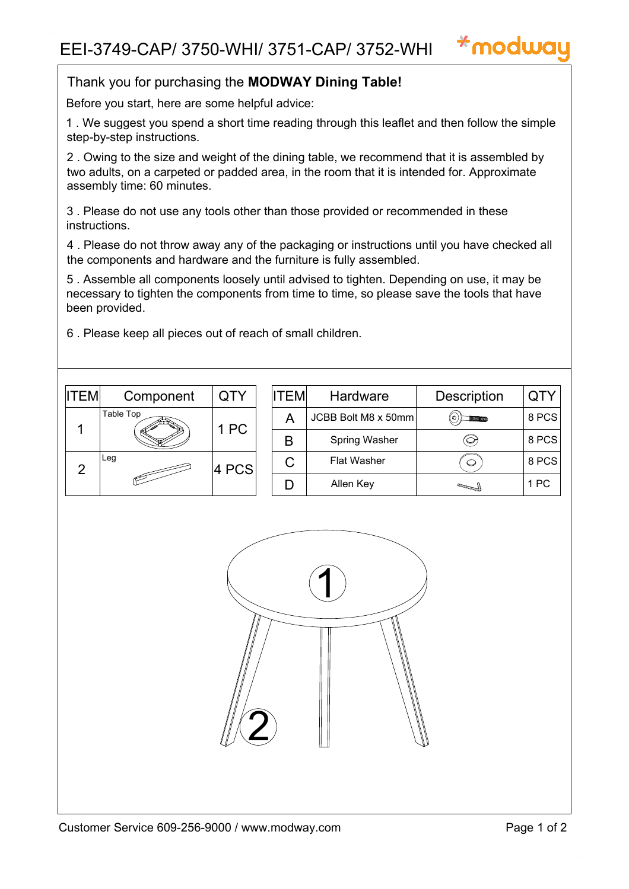

Before you start, here are some helpful advice:

1 . We suggest you spend a short time reading through this leaflet and then follow the simple step-by-step instructions.

2 . Owing to the size and weight of the dining table, we recommend that it is assembled by two adults, on a carpeted or padded area, in the room that it is intended for. Approximate assembly time: 60 minutes.

3 . Please do not use any tools other than those provided or recommended in these instructions.

4 . Please do not throw away any of the packaging or instructions until you have checked all the components and hardware and the furniture is fully assembled.

5 . Assemble all components loosely until advised to tighten. Depending on use, it may be necessary to tighten the components from time to time, so please save the tools that have been provided.

6 . Please keep all pieces out of reach of small children.